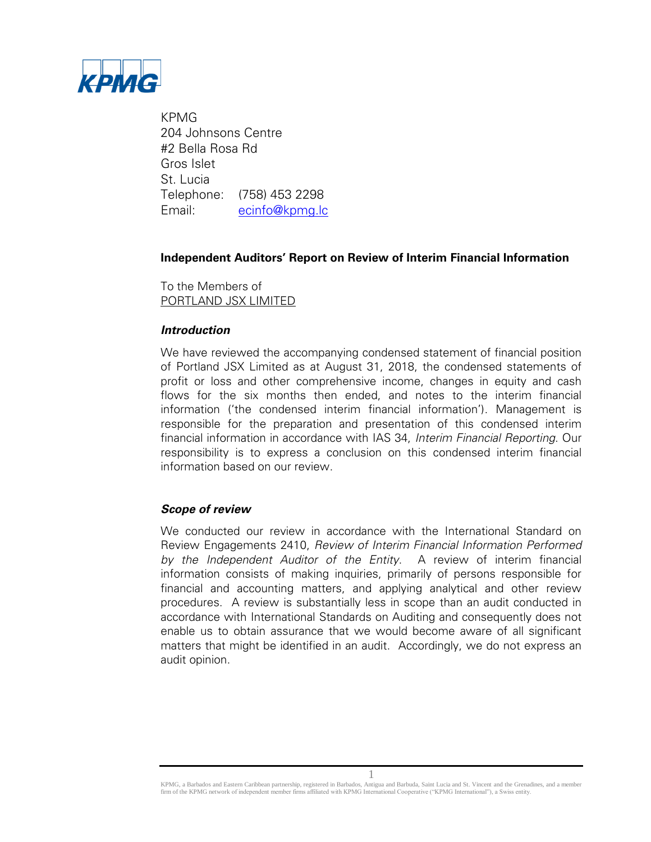

KPMG 204 Johnsons Centre #2 Bella Rosa Rd Gros Islet St. Lucia Telephone: (758) 453 2298 Email: [ecinfo@kpmg.lc](../AppData/Local/Microsoft/Windows/INetCache/Content.Outlook/ZKQJNOV9/Appendix%20IX%20-%20Subsequent%20Events%20Memorandum.doc.docx) 

# **Independent Auditors' Report on Review of Interim Financial Information**

To the Members of PORTLAND JSX LIMITED

## **Introduction**

We have reviewed the accompanying condensed statement of financial position of Portland JSX Limited as at August 31, 2018, the condensed statements of profit or loss and other comprehensive income, changes in equity and cash flows for the six months then ended, and notes to the interim financial information ('the condensed interim financial information'). Management is responsible for the preparation and presentation of this condensed interim financial information in accordance with IAS 34, Interim Financial Reporting. Our responsibility is to express a conclusion on this condensed interim financial information based on our review.

## **Scope of review**

We conducted our review in accordance with the International Standard on Review Engagements 2410, Review of Interim Financial Information Performed by the Independent Auditor of the Entity. A review of interim financial information consists of making inquiries, primarily of persons responsible for financial and accounting matters, and applying analytical and other review procedures. A review is substantially less in scope than an audit conducted in accordance with International Standards on Auditing and consequently does not enable us to obtain assurance that we would become aware of all significant matters that might be identified in an audit. Accordingly, we do not express an audit opinion.

1 KPMG, a Barbados and Eastern Caribbean partnership, registered in Barbados, Antigua and Barbuda, Saint Lucia and St. Vincent and the Grenadines, and a member firm of the KPMG network of independent member firms affiliated with KPMG International Cooperative ("KPMG International"), a Swiss entity.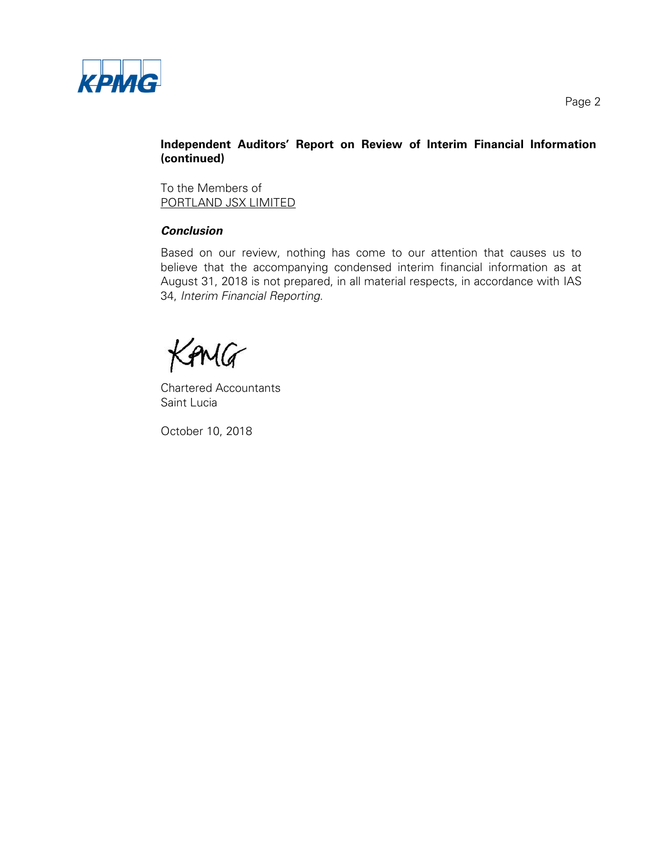

# **Independent Auditors' Report on Review of Interim Financial Information (continued)**

To the Members of PORTLAND JSX LIMITED

# **Conclusion**

Based on our review, nothing has come to our attention that causes us to believe that the accompanying condensed interim financial information as at August 31, 2018 is not prepared, in all material respects, in accordance with IAS 34, Interim Financial Reporting.

KANG

Chartered Accountants Saint Lucia

October 10, 2018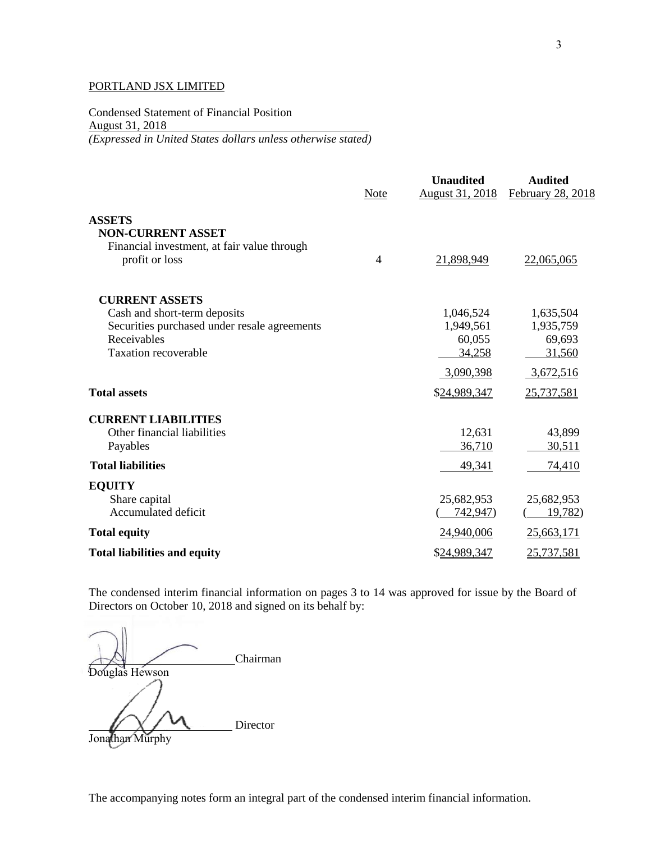Condensed Statement of Financial Position August 31, 2018 *(Expressed in United States dollars unless otherwise stated)*

|                                                                                           | Note           | <b>Unaudited</b><br><b>August 31, 2018</b> | <b>Audited</b><br>February 28, 2018 |
|-------------------------------------------------------------------------------------------|----------------|--------------------------------------------|-------------------------------------|
| <b>ASSETS</b>                                                                             |                |                                            |                                     |
| <b>NON-CURRENT ASSET</b><br>Financial investment, at fair value through<br>profit or loss | $\overline{4}$ | 21,898,949                                 | 22,065,065                          |
| <b>CURRENT ASSETS</b>                                                                     |                |                                            |                                     |
| Cash and short-term deposits                                                              |                | 1,046,524                                  | 1,635,504                           |
| Securities purchased under resale agreements                                              |                | 1,949,561                                  | 1,935,759                           |
| Receivables<br><b>Taxation recoverable</b>                                                |                | 60,055<br>34,258                           | 69,693<br>31,560                    |
|                                                                                           |                |                                            |                                     |
|                                                                                           |                | 3,090,398                                  | 3,672,516                           |
| <b>Total assets</b>                                                                       |                | \$24,989,347                               | 25,737,581                          |
| <b>CURRENT LIABILITIES</b>                                                                |                |                                            |                                     |
| Other financial liabilities                                                               |                | 12,631                                     | 43,899                              |
| Payables                                                                                  |                | 36,710                                     | 30,511                              |
| <b>Total liabilities</b>                                                                  |                | 49,341                                     | 74,410                              |
| <b>EQUITY</b>                                                                             |                |                                            |                                     |
| Share capital<br>Accumulated deficit                                                      |                | 25,682,953<br>742,947)                     | 25,682,953<br>19,782                |
| <b>Total equity</b>                                                                       |                | 24,940,006                                 | 25,663,171                          |
| <b>Total liabilities and equity</b>                                                       |                | \$24,989,347                               | 25,737,581                          |
|                                                                                           |                |                                            |                                     |

The condensed interim financial information on pages 3 to 14 was approved for issue by the Board of Directors on October 10, 2018 and signed on its behalf by:

Chairman Douglas Hewson Director Jonathan Murphy

The accompanying notes form an integral part of the condensed interim financial information.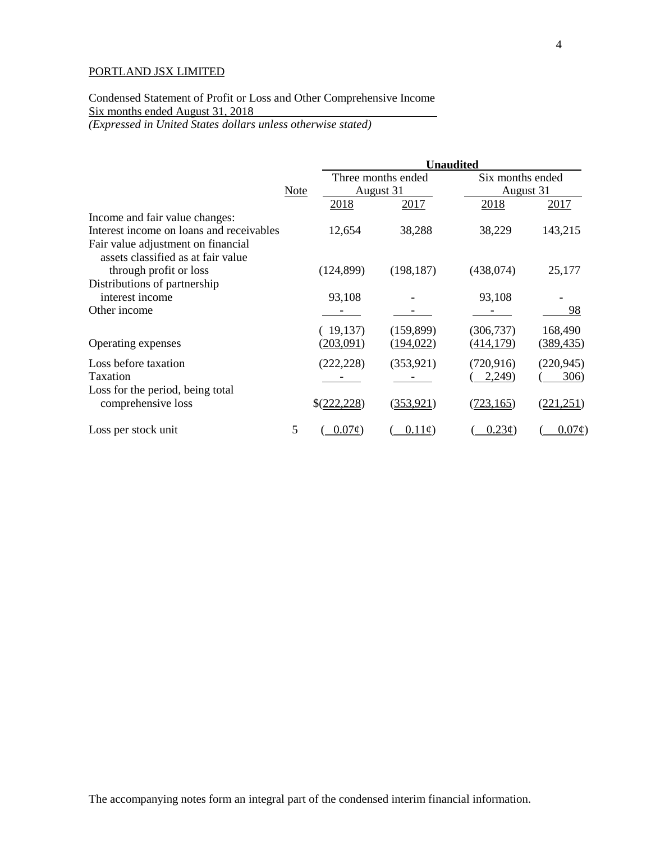# Condensed Statement of Profit or Loss and Other Comprehensive Income Six months ended August 31, 2018

*(Expressed in United States dollars unless otherwise stated)*

|                                                        |             |              | <b>Unaudited</b>   |                  |                  |  |
|--------------------------------------------------------|-------------|--------------|--------------------|------------------|------------------|--|
|                                                        |             |              | Three months ended | Six months ended |                  |  |
|                                                        | <b>Note</b> |              | August 31          |                  | August 31        |  |
|                                                        |             | 2018         | 2017               | <u>2018</u>      | 2017             |  |
| Income and fair value changes:                         |             |              |                    |                  |                  |  |
| Interest income on loans and receivables               |             | 12,654       | 38,288             | 38,229           | 143,215          |  |
| Fair value adjustment on financial                     |             |              |                    |                  |                  |  |
| assets classified as at fair value                     |             |              |                    |                  |                  |  |
| through profit or loss                                 |             | (124, 899)   | (198, 187)         | (438,074)        | 25,177           |  |
| Distributions of partnership                           |             |              |                    |                  |                  |  |
| interest income                                        |             | 93,108       |                    | 93,108           |                  |  |
| Other income                                           |             |              |                    |                  | 98               |  |
|                                                        |             | (19,137)     | (159, 899)         | (306, 737)       | 168,490          |  |
| Operating expenses                                     |             | (203,091)    | ( <u>194,022</u> ) | <u>(414,179)</u> | (389, 435)       |  |
| Loss before taxation                                   |             | (222, 228)   | (353, 921)         | (720, 916)       | (220, 945)       |  |
| Taxation                                               |             |              |                    | 2,249            | 306)             |  |
| Loss for the period, being total<br>comprehensive loss |             | \$(222, 228) | (353, 921)         | (723, 165)       | <u>221,251</u> ) |  |
| Loss per stock unit                                    | 5           | $0.07\phi$   | $0.11\epsilon$     | $0.23\varphi$    | $0.07\phi$       |  |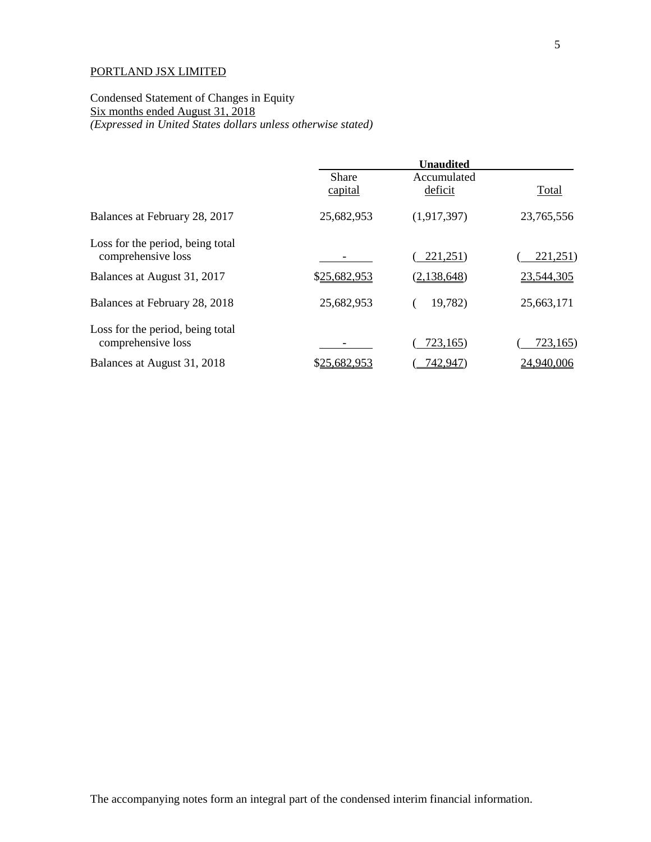Condensed Statement of Changes in Equity Six months ended August 31, 2018 *(Expressed in United States dollars unless otherwise stated)*

|                                                        | <b>Unaudited</b>        |                        |            |
|--------------------------------------------------------|-------------------------|------------------------|------------|
|                                                        | <b>Share</b><br>capital | Accumulated<br>deficit | Total      |
| Balances at February 28, 2017                          | 25,682,953              | (1,917,397)            | 23,765,556 |
| Loss for the period, being total<br>comprehensive loss |                         | 221,251)               | 221,251)   |
| Balances at August 31, 2017                            | \$25,682,953            | (2,138,648)            | 23,544,305 |
| Balances at February 28, 2018                          | 25,682,953              | 19,782)                | 25,663,171 |
| Loss for the period, being total<br>comprehensive loss |                         | 723,165                | 723,165    |
| Balances at August 31, 2018                            | \$25,682,953            | 742,947)               | 24,940,006 |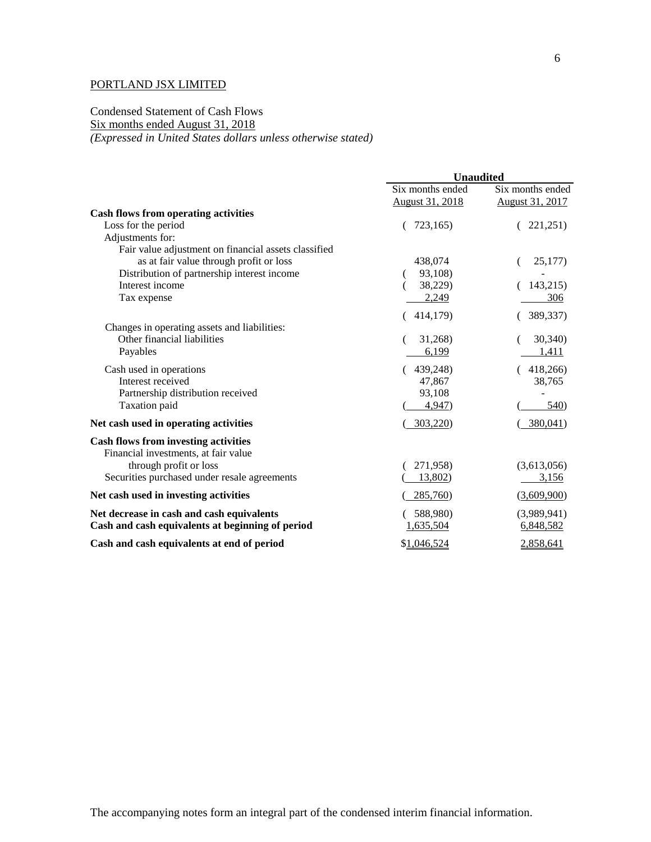### Condensed Statement of Cash Flows Six months ended August 31, 2018 *(Expressed in United States dollars unless otherwise stated)*

|                                                      | <b>Unaudited</b>                    |                                            |
|------------------------------------------------------|-------------------------------------|--------------------------------------------|
|                                                      | Six months ended<br>August 31, 2018 | Six months ended<br><b>August 31, 2017</b> |
| <b>Cash flows from operating activities</b>          |                                     |                                            |
| Loss for the period                                  | 723,165)                            | 221,251)                                   |
| Adjustments for:                                     |                                     |                                            |
| Fair value adjustment on financial assets classified |                                     |                                            |
| as at fair value through profit or loss              | 438,074                             | 25,177)                                    |
| Distribution of partnership interest income          | 93,108)                             |                                            |
| Interest income                                      | 38,229)                             | 143,215)                                   |
| Tax expense                                          | 2,249                               | 306                                        |
|                                                      | 414,179)                            | 389,337)                                   |
| Changes in operating assets and liabilities:         |                                     |                                            |
| Other financial liabilities                          | 31,268)                             | 30,340)                                    |
| Payables                                             | 6,199                               | 1,411                                      |
| Cash used in operations                              | 439,248)                            | 418,266)                                   |
| Interest received                                    | 47,867                              | 38,765                                     |
| Partnership distribution received                    | 93,108                              |                                            |
| Taxation paid                                        | 4,947                               | 540)                                       |
| Net cash used in operating activities                | 303,220)                            | 380,041)                                   |
| <b>Cash flows from investing activities</b>          |                                     |                                            |
| Financial investments, at fair value                 |                                     |                                            |
| through profit or loss                               | 271,958)                            | (3,613,056)                                |
| Securities purchased under resale agreements         | 13,802)                             | 3,156                                      |
| Net cash used in investing activities                | 285,760                             | (3,609,900)                                |
| Net decrease in cash and cash equivalents            | 588,980)                            | (3,989,941)                                |
| Cash and cash equivalents at beginning of period     | 1,635,504                           | 6,848,582                                  |
| Cash and cash equivalents at end of period           | \$1,046,524                         | 2,858,641                                  |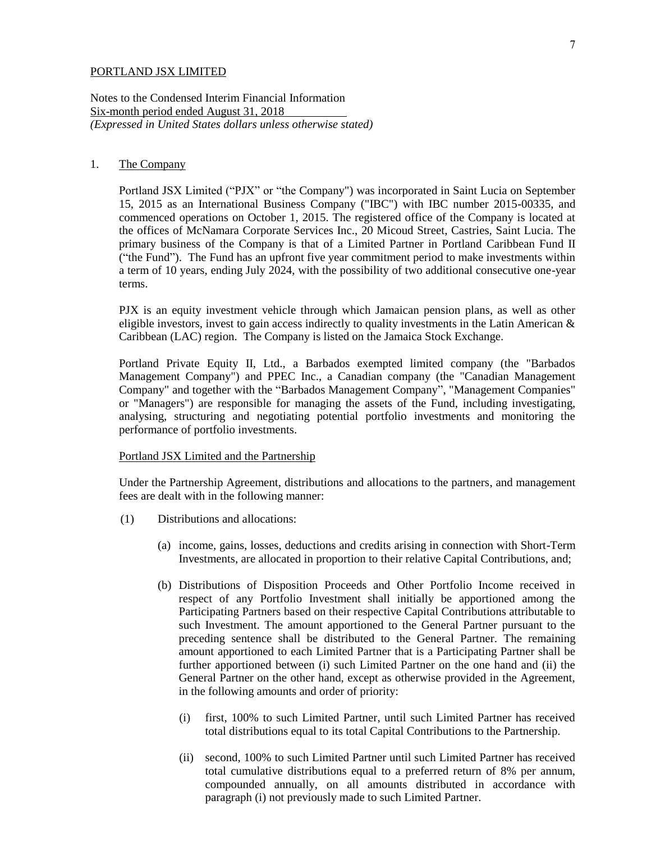Notes to the Condensed Interim Financial Information Six-month period ended August 31, 2018 *(Expressed in United States dollars unless otherwise stated)*

### 1. The Company

Portland JSX Limited ("PJX" or "the Company") was incorporated in Saint Lucia on September 15, 2015 as an International Business Company ("IBC") with IBC number 2015-00335, and commenced operations on October 1, 2015. The registered office of the Company is located at the offices of McNamara Corporate Services Inc., 20 Micoud Street, Castries, Saint Lucia. The primary business of the Company is that of a Limited Partner in Portland Caribbean Fund II ("the Fund"). The Fund has an upfront five year commitment period to make investments within a term of 10 years, ending July 2024, with the possibility of two additional consecutive one-year terms.

PJX is an equity investment vehicle through which Jamaican pension plans, as well as other eligible investors, invest to gain access indirectly to quality investments in the Latin American & Caribbean (LAC) region. The Company is listed on the Jamaica Stock Exchange.

Portland Private Equity II, Ltd., a Barbados exempted limited company (the "Barbados Management Company") and PPEC Inc., a Canadian company (the "Canadian Management Company" and together with the "Barbados Management Company", "Management Companies" or "Managers") are responsible for managing the assets of the Fund, including investigating, analysing, structuring and negotiating potential portfolio investments and monitoring the performance of portfolio investments.

#### Portland JSX Limited and the Partnership

Under the Partnership Agreement, distributions and allocations to the partners, and management fees are dealt with in the following manner:

- (1) Distributions and allocations:
	- (a) income, gains, losses, deductions and credits arising in connection with Short-Term Investments, are allocated in proportion to their relative Capital Contributions, and;
	- (b) Distributions of Disposition Proceeds and Other Portfolio Income received in respect of any Portfolio Investment shall initially be apportioned among the Participating Partners based on their respective Capital Contributions attributable to such Investment. The amount apportioned to the General Partner pursuant to the preceding sentence shall be distributed to the General Partner. The remaining amount apportioned to each Limited Partner that is a Participating Partner shall be further apportioned between (i) such Limited Partner on the one hand and (ii) the General Partner on the other hand, except as otherwise provided in the Agreement, in the following amounts and order of priority:
		- (i) first, 100% to such Limited Partner, until such Limited Partner has received total distributions equal to its total Capital Contributions to the Partnership.
		- (ii) second, 100% to such Limited Partner until such Limited Partner has received total cumulative distributions equal to a preferred return of 8% per annum, compounded annually, on all amounts distributed in accordance with paragraph (i) not previously made to such Limited Partner.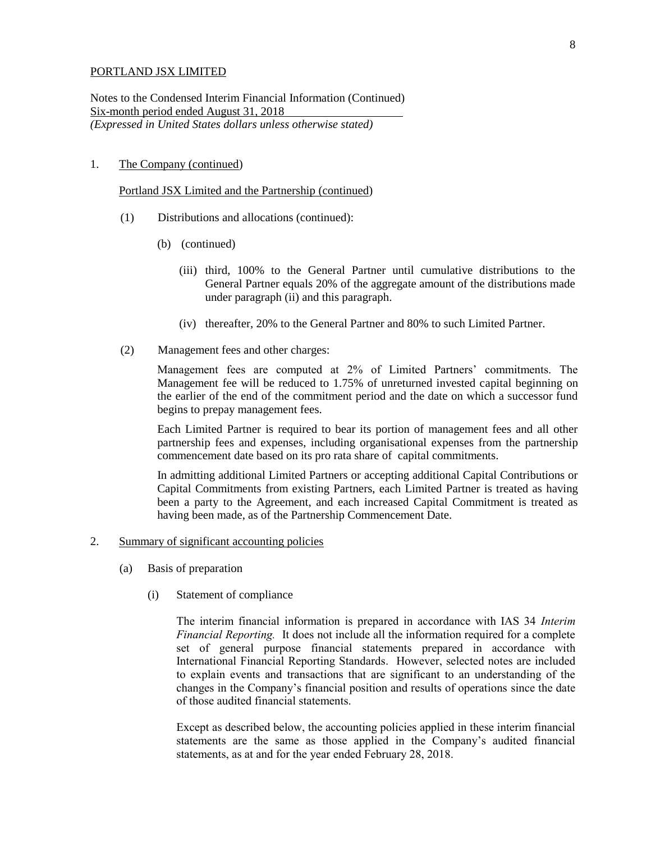Notes to the Condensed Interim Financial Information (Continued) Six-month period ended August 31, 2018 *(Expressed in United States dollars unless otherwise stated)*

#### 1. The Company (continued)

Portland JSX Limited and the Partnership (continued)

- (1) Distributions and allocations (continued):
	- (b) (continued)
		- (iii) third, 100% to the General Partner until cumulative distributions to the General Partner equals 20% of the aggregate amount of the distributions made under paragraph (ii) and this paragraph.
		- (iv) thereafter, 20% to the General Partner and 80% to such Limited Partner.
- (2) Management fees and other charges:

Management fees are computed at 2% of Limited Partners' commitments. The Management fee will be reduced to 1.75% of unreturned invested capital beginning on the earlier of the end of the commitment period and the date on which a successor fund begins to prepay management fees.

Each Limited Partner is required to bear its portion of management fees and all other partnership fees and expenses, including organisational expenses from the partnership commencement date based on its pro rata share of capital commitments.

In admitting additional Limited Partners or accepting additional Capital Contributions or Capital Commitments from existing Partners, each Limited Partner is treated as having been a party to the Agreement, and each increased Capital Commitment is treated as having been made, as of the Partnership Commencement Date.

- 2. Summary of significant accounting policies
	- (a) Basis of preparation
		- (i) Statement of compliance

The interim financial information is prepared in accordance with IAS 34 *Interim Financial Reporting.* It does not include all the information required for a complete set of general purpose financial statements prepared in accordance with International Financial Reporting Standards. However, selected notes are included to explain events and transactions that are significant to an understanding of the changes in the Company's financial position and results of operations since the date of those audited financial statements.

Except as described below, the accounting policies applied in these interim financial statements are the same as those applied in the Company's audited financial statements, as at and for the year ended February 28, 2018.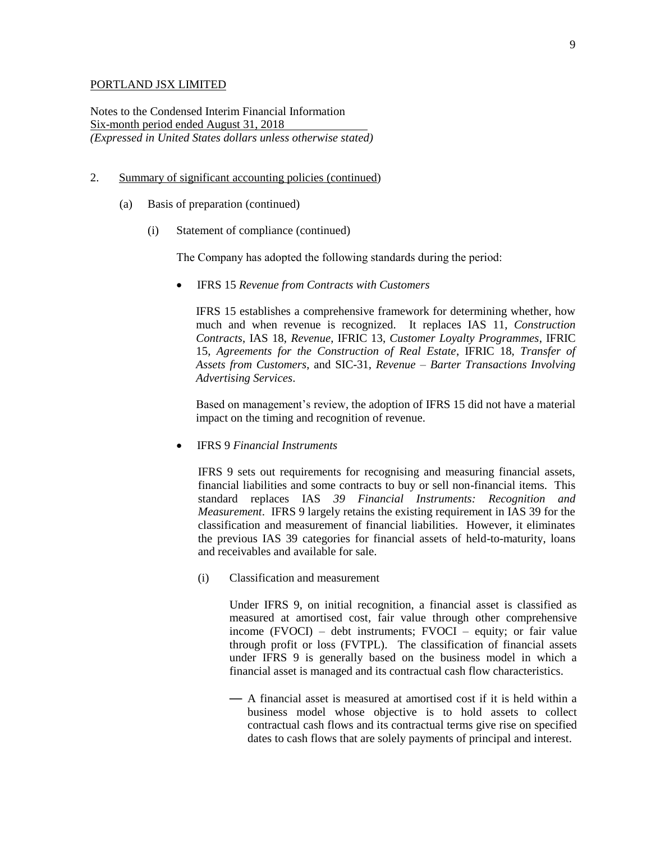Notes to the Condensed Interim Financial Information Six-month period ended August 31, 2018 *(Expressed in United States dollars unless otherwise stated)*

- 2. Summary of significant accounting policies (continued)
	- (a) Basis of preparation (continued)
		- (i) Statement of compliance (continued)

The Company has adopted the following standards during the period:

IFRS 15 *Revenue from Contracts with Customers*

IFRS 15 establishes a comprehensive framework for determining whether, how much and when revenue is recognized. It replaces IAS 11, *Construction Contracts*, IAS 18, *Revenue*, IFRIC 13, *Customer Loyalty Programmes*, IFRIC 15, *Agreements for the Construction of Real Estate*, IFRIC 18, *Transfer of Assets from Customers*, and SIC-31, *Revenue – Barter Transactions Involving Advertising Services*.

Based on management's review, the adoption of IFRS 15 did not have a material impact on the timing and recognition of revenue.

IFRS 9 *Financial Instruments*

IFRS 9 sets out requirements for recognising and measuring financial assets, financial liabilities and some contracts to buy or sell non-financial items. This standard replaces IAS *39 Financial Instruments: Recognition and Measurement*. IFRS 9 largely retains the existing requirement in IAS 39 for the classification and measurement of financial liabilities. However, it eliminates the previous IAS 39 categories for financial assets of held-to-maturity, loans and receivables and available for sale.

(i) Classification and measurement

Under IFRS 9, on initial recognition, a financial asset is classified as measured at amortised cost, fair value through other comprehensive income (FVOCI) – debt instruments; FVOCI – equity; or fair value through profit or loss (FVTPL). The classification of financial assets under IFRS 9 is generally based on the business model in which a financial asset is managed and its contractual cash flow characteristics.

— A financial asset is measured at amortised cost if it is held within a business model whose objective is to hold assets to collect contractual cash flows and its contractual terms give rise on specified dates to cash flows that are solely payments of principal and interest.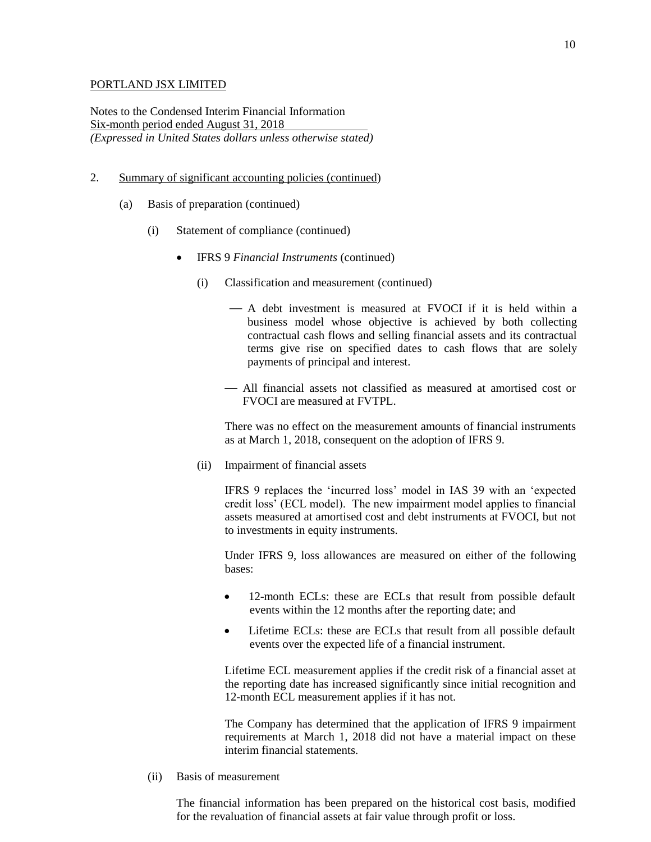Notes to the Condensed Interim Financial Information Six-month period ended August 31, 2018 *(Expressed in United States dollars unless otherwise stated)*

- 2. Summary of significant accounting policies (continued)
	- (a) Basis of preparation (continued)
		- (i) Statement of compliance (continued)
			- IFRS 9 *Financial Instruments* (continued)
				- (i) Classification and measurement (continued)
					- A debt investment is measured at FVOCI if it is held within a business model whose objective is achieved by both collecting contractual cash flows and selling financial assets and its contractual terms give rise on specified dates to cash flows that are solely payments of principal and interest.
					- All financial assets not classified as measured at amortised cost or FVOCI are measured at FVTPL.

There was no effect on the measurement amounts of financial instruments as at March 1, 2018, consequent on the adoption of IFRS 9.

(ii) Impairment of financial assets

IFRS 9 replaces the 'incurred loss' model in IAS 39 with an 'expected credit loss' (ECL model). The new impairment model applies to financial assets measured at amortised cost and debt instruments at FVOCI, but not to investments in equity instruments.

Under IFRS 9, loss allowances are measured on either of the following bases:

- 12-month ECLs: these are ECLs that result from possible default events within the 12 months after the reporting date; and
- Lifetime ECLs: these are ECLs that result from all possible default events over the expected life of a financial instrument.

Lifetime ECL measurement applies if the credit risk of a financial asset at the reporting date has increased significantly since initial recognition and 12-month ECL measurement applies if it has not.

The Company has determined that the application of IFRS 9 impairment requirements at March 1, 2018 did not have a material impact on these interim financial statements.

(ii) Basis of measurement

The financial information has been prepared on the historical cost basis, modified for the revaluation of financial assets at fair value through profit or loss.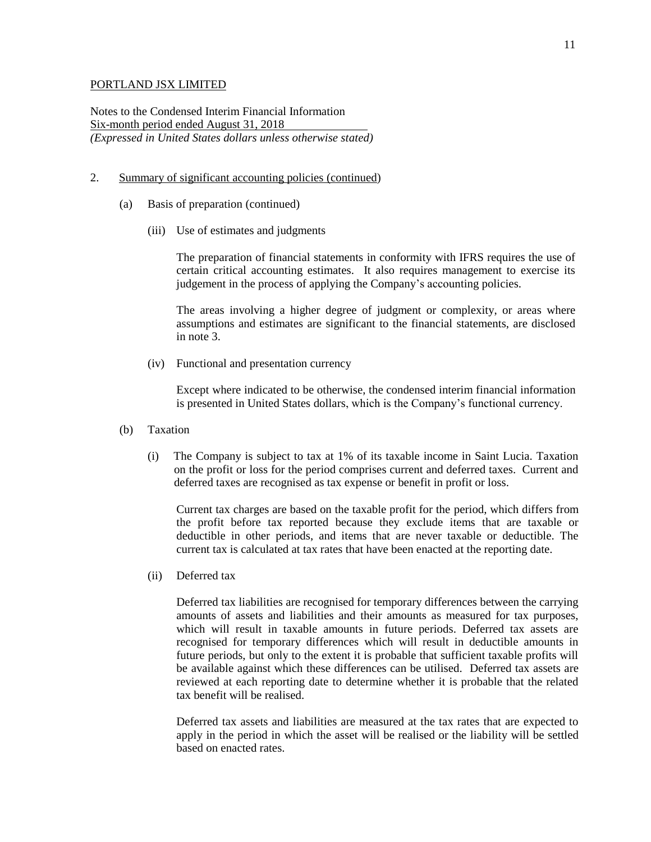Notes to the Condensed Interim Financial Information Six-month period ended August 31, 2018 *(Expressed in United States dollars unless otherwise stated)*

- 2. Summary of significant accounting policies (continued)
	- (a) Basis of preparation (continued)
		- (iii) Use of estimates and judgments

The preparation of financial statements in conformity with IFRS requires the use of certain critical accounting estimates. It also requires management to exercise its judgement in the process of applying the Company's accounting policies.

The areas involving a higher degree of judgment or complexity, or areas where assumptions and estimates are significant to the financial statements, are disclosed in note 3.

(iv) Functional and presentation currency

Except where indicated to be otherwise, the condensed interim financial information is presented in United States dollars, which is the Company's functional currency.

- (b) Taxation
	- (i) The Company is subject to tax at 1% of its taxable income in Saint Lucia. Taxation on the profit or loss for the period comprises current and deferred taxes. Current and deferred taxes are recognised as tax expense or benefit in profit or loss.

Current tax charges are based on the taxable profit for the period, which differs from the profit before tax reported because they exclude items that are taxable or deductible in other periods, and items that are never taxable or deductible. The current tax is calculated at tax rates that have been enacted at the reporting date.

(ii) Deferred tax

Deferred tax liabilities are recognised for temporary differences between the carrying amounts of assets and liabilities and their amounts as measured for tax purposes, which will result in taxable amounts in future periods. Deferred tax assets are recognised for temporary differences which will result in deductible amounts in future periods, but only to the extent it is probable that sufficient taxable profits will be available against which these differences can be utilised. Deferred tax assets are reviewed at each reporting date to determine whether it is probable that the related tax benefit will be realised.

Deferred tax assets and liabilities are measured at the tax rates that are expected to apply in the period in which the asset will be realised or the liability will be settled based on enacted rates.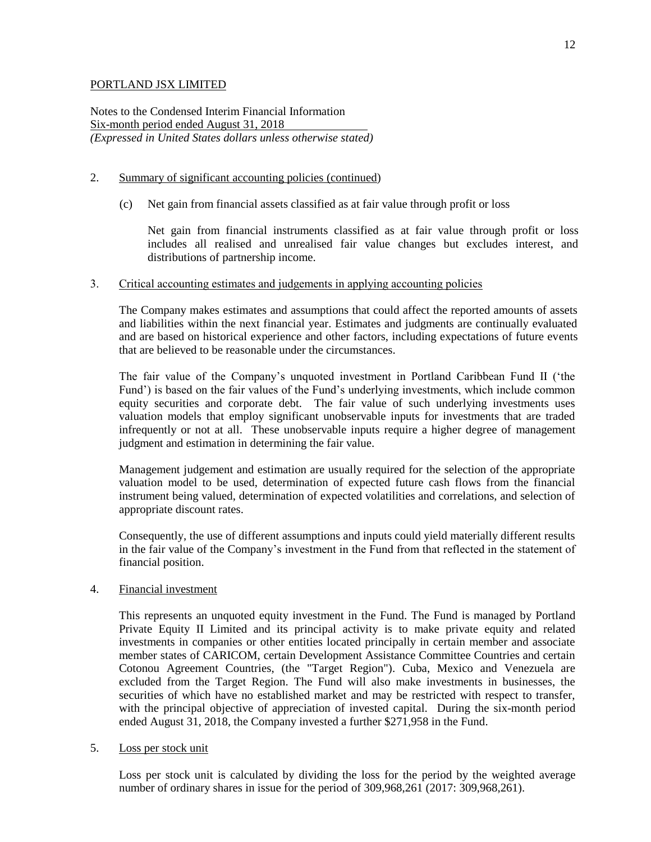Notes to the Condensed Interim Financial Information Six-month period ended August 31, 2018 *(Expressed in United States dollars unless otherwise stated)*

## 2. Summary of significant accounting policies (continued)

(c) Net gain from financial assets classified as at fair value through profit or loss

Net gain from financial instruments classified as at fair value through profit or loss includes all realised and unrealised fair value changes but excludes interest, and distributions of partnership income.

#### 3. Critical accounting estimates and judgements in applying accounting policies

The Company makes estimates and assumptions that could affect the reported amounts of assets and liabilities within the next financial year. Estimates and judgments are continually evaluated and are based on historical experience and other factors, including expectations of future events that are believed to be reasonable under the circumstances.

The fair value of the Company's unquoted investment in Portland Caribbean Fund II ('the Fund') is based on the fair values of the Fund's underlying investments, which include common equity securities and corporate debt. The fair value of such underlying investments uses valuation models that employ significant unobservable inputs for investments that are traded infrequently or not at all. These unobservable inputs require a higher degree of management judgment and estimation in determining the fair value.

Management judgement and estimation are usually required for the selection of the appropriate valuation model to be used, determination of expected future cash flows from the financial instrument being valued, determination of expected volatilities and correlations, and selection of appropriate discount rates.

Consequently, the use of different assumptions and inputs could yield materially different results in the fair value of the Company's investment in the Fund from that reflected in the statement of financial position.

#### 4. Financial investment

This represents an unquoted equity investment in the Fund. The Fund is managed by Portland Private Equity II Limited and its principal activity is to make private equity and related investments in companies or other entities located principally in certain member and associate member states of CARICOM, certain Development Assistance Committee Countries and certain Cotonou Agreement Countries, (the "Target Region"). Cuba, Mexico and Venezuela are excluded from the Target Region. The Fund will also make investments in businesses, the securities of which have no established market and may be restricted with respect to transfer, with the principal objective of appreciation of invested capital. During the six-month period ended August 31, 2018, the Company invested a further \$271,958 in the Fund.

5. Loss per stock unit

Loss per stock unit is calculated by dividing the loss for the period by the weighted average number of ordinary shares in issue for the period of 309,968,261 (2017: 309,968,261).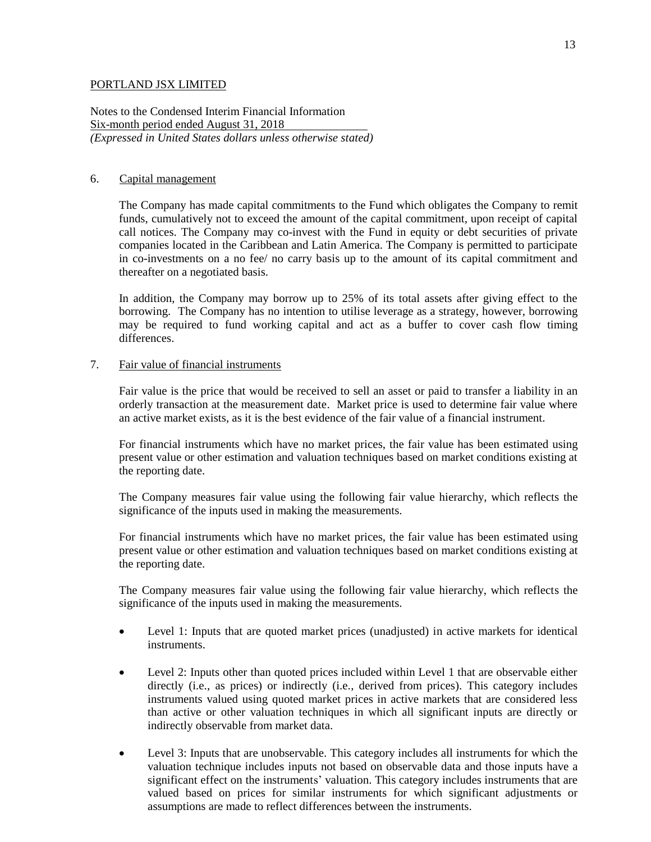Notes to the Condensed Interim Financial Information Six-month period ended August 31, 2018 *(Expressed in United States dollars unless otherwise stated)*

### 6. Capital management

The Company has made capital commitments to the Fund which obligates the Company to remit funds, cumulatively not to exceed the amount of the capital commitment, upon receipt of capital call notices. The Company may co-invest with the Fund in equity or debt securities of private companies located in the Caribbean and Latin America. The Company is permitted to participate in co-investments on a no fee/ no carry basis up to the amount of its capital commitment and thereafter on a negotiated basis.

In addition, the Company may borrow up to 25% of its total assets after giving effect to the borrowing. The Company has no intention to utilise leverage as a strategy, however, borrowing may be required to fund working capital and act as a buffer to cover cash flow timing differences.

### 7. Fair value of financial instruments

Fair value is the price that would be received to sell an asset or paid to transfer a liability in an orderly transaction at the measurement date. Market price is used to determine fair value where an active market exists, as it is the best evidence of the fair value of a financial instrument.

For financial instruments which have no market prices, the fair value has been estimated using present value or other estimation and valuation techniques based on market conditions existing at the reporting date.

The Company measures fair value using the following fair value hierarchy, which reflects the significance of the inputs used in making the measurements.

For financial instruments which have no market prices, the fair value has been estimated using present value or other estimation and valuation techniques based on market conditions existing at the reporting date.

The Company measures fair value using the following fair value hierarchy, which reflects the significance of the inputs used in making the measurements.

- Level 1: Inputs that are quoted market prices (unadjusted) in active markets for identical instruments.
- Level 2: Inputs other than quoted prices included within Level 1 that are observable either directly (i.e., as prices) or indirectly (i.e., derived from prices). This category includes instruments valued using quoted market prices in active markets that are considered less than active or other valuation techniques in which all significant inputs are directly or indirectly observable from market data.
- Level 3: Inputs that are unobservable. This category includes all instruments for which the valuation technique includes inputs not based on observable data and those inputs have a significant effect on the instruments' valuation. This category includes instruments that are valued based on prices for similar instruments for which significant adjustments or assumptions are made to reflect differences between the instruments.